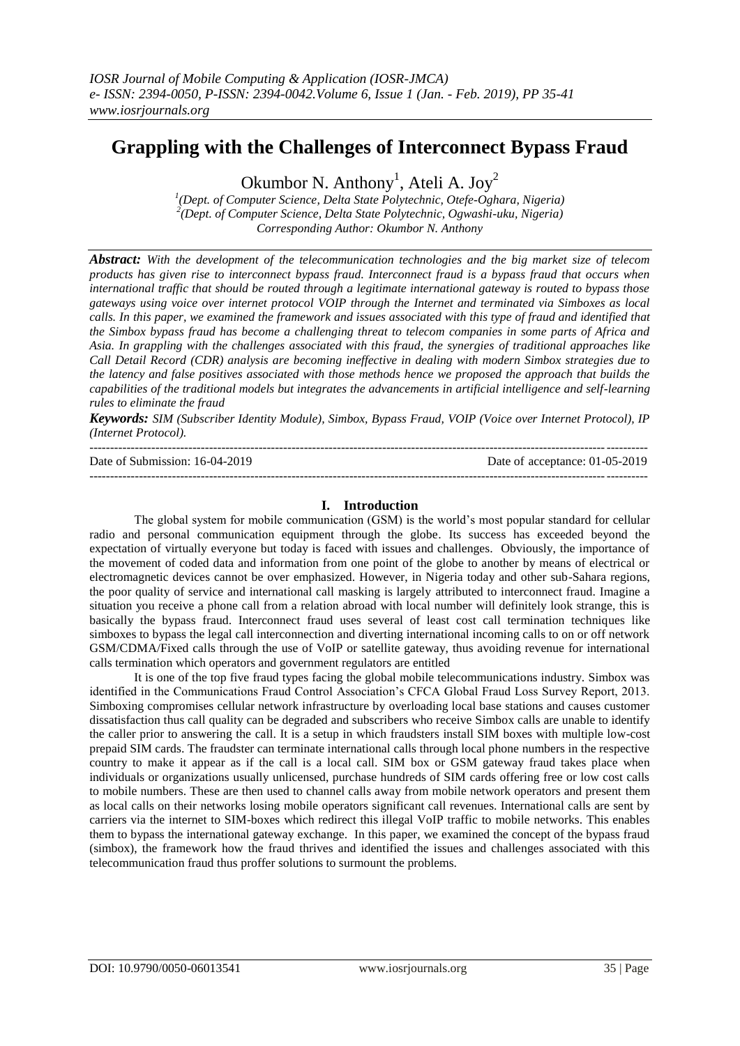# **Grappling with the Challenges of Interconnect Bypass Fraud**

Okumbor N. Anthony<sup>1</sup>, Ateli A. Joy<sup>2</sup>

*1 (Dept. of Computer Science, Delta State Polytechnic, Otefe-Oghara, Nigeria) 2 (Dept. of Computer Science, Delta State Polytechnic, Ogwashi-uku, Nigeria) Corresponding Author: Okumbor N. Anthony*

*Abstract: With the development of the telecommunication technologies and the big market size of telecom products has given rise to interconnect bypass fraud. Interconnect fraud is a bypass fraud that occurs when international traffic that should be routed through a legitimate international gateway is routed to bypass those gateways using voice over internet protocol VOIP through the Internet and terminated via Simboxes as local calls. In this paper, we examined the framework and issues associated with this type of fraud and identified that the Simbox bypass fraud has become a challenging threat to telecom companies in some parts of Africa and Asia. In grappling with the challenges associated with this fraud, the synergies of traditional approaches like Call Detail Record (CDR) analysis are becoming ineffective in dealing with modern Simbox strategies due to the latency and false positives associated with those methods hence we proposed the approach that builds the capabilities of the traditional models but integrates the advancements in artificial intelligence and self-learning rules to eliminate the fraud*

*Keywords: SIM (Subscriber Identity Module), Simbox, Bypass Fraud, VOIP (Voice over Internet Protocol), IP (Internet Protocol).*

| Date of Submission: 16-04-2019 | Date of acceptance: 01-05-2019 |
|--------------------------------|--------------------------------|
|                                |                                |

#### **I. Introduction**

The global system for mobile communication (GSM) is the world's most popular standard for cellular radio and personal communication equipment through the globe. Its success has exceeded beyond the expectation of virtually everyone but today is faced with issues and challenges. Obviously, the importance of the movement of coded data and information from one point of the globe to another by means of electrical or electromagnetic devices cannot be over emphasized. However, in Nigeria today and other sub-Sahara regions, the poor quality of service and international call masking is largely attributed to interconnect fraud. Imagine a situation you receive a phone call from a relation abroad with local number will definitely look strange, this is basically the bypass fraud. Interconnect fraud uses several of least cost call termination techniques like simboxes to bypass the legal call interconnection and diverting international incoming calls to on or off network GSM/CDMA/Fixed calls through the use of VoIP or satellite gateway, thus avoiding revenue for international calls termination which operators and government regulators are entitled

It is one of the top five fraud types facing the global mobile telecommunications industry. Simbox was identified in the Communications Fraud Control Association's CFCA Global Fraud Loss Survey Report, 2013. Simboxing compromises cellular network infrastructure by overloading local base stations and causes customer dissatisfaction thus call quality can be degraded and subscribers who receive Simbox calls are unable to identify the caller prior to answering the call. It is a setup in which fraudsters install SIM boxes with multiple low-cost prepaid SIM cards. The fraudster can terminate international calls through local phone numbers in the respective country to make it appear as if the call is a local call. SIM box or GSM gateway fraud takes place when individuals or organizations usually unlicensed, purchase hundreds of SIM cards offering free or low cost calls to mobile numbers. These are then used to channel calls away from mobile network operators and present them as local calls on their networks losing mobile operators significant call revenues. International calls are sent by carriers via the internet to SIM-boxes which redirect this illegal VoIP traffic to mobile networks. This enables them to bypass the international gateway exchange. In this paper, we examined the concept of the bypass fraud (simbox), the framework how the fraud thrives and identified the issues and challenges associated with this telecommunication fraud thus proffer solutions to surmount the problems.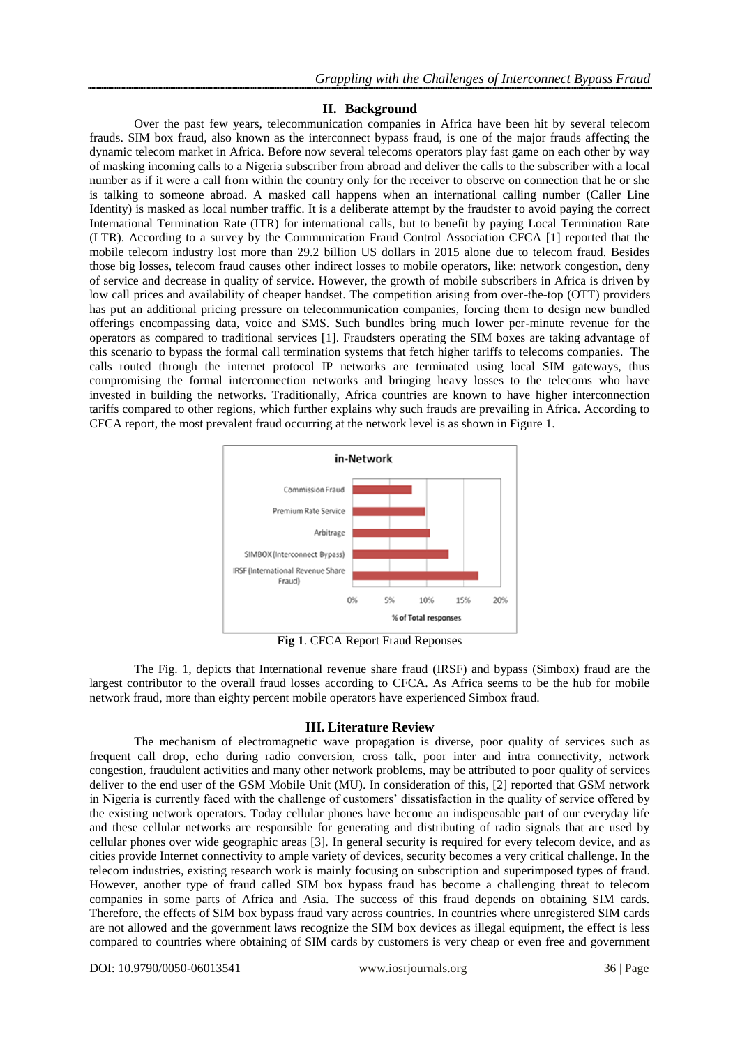## **II. Background**

Over the past few years, telecommunication companies in Africa have been hit by several telecom frauds. SIM box fraud, also known as the interconnect bypass fraud, is one of the major frauds affecting the dynamic telecom market in Africa. Before now several telecoms operators play fast game on each other by way of masking incoming calls to a Nigeria subscriber from abroad and deliver the calls to the subscriber with a local number as if it were a call from within the country only for the receiver to observe on connection that he or she is talking to someone abroad. A masked call happens when an international calling number (Caller Line Identity) is masked as local number traffic. It is a deliberate attempt by the fraudster to avoid paying the correct International Termination Rate (ITR) for international calls, but to benefit by paying Local Termination Rate (LTR). According to a survey by the Communication Fraud Control Association CFCA [1] reported that the mobile telecom industry lost more than 29.2 billion US dollars in 2015 alone due to telecom fraud. Besides those big losses, telecom fraud causes other indirect losses to mobile operators, like: network congestion, deny of service and decrease in quality of service. However, the growth of mobile subscribers in Africa is driven by low call prices and availability of cheaper handset. The competition arising from over-the-top (OTT) providers has put an additional pricing pressure on telecommunication companies, forcing them to design new bundled offerings encompassing data, voice and SMS. Such bundles bring much lower per-minute revenue for the operators as compared to traditional services [1]. Fraudsters operating the SIM boxes are taking advantage of this scenario to bypass the formal call termination systems that fetch higher tariffs to telecoms companies. The calls routed through the internet protocol IP networks are terminated using local SIM gateways, thus compromising the formal interconnection networks and bringing heavy losses to the telecoms who have invested in building the networks. Traditionally, Africa countries are known to have higher interconnection tariffs compared to other regions, which further explains why such frauds are prevailing in Africa. According to CFCA report, the most prevalent fraud occurring at the network level is as shown in Figure 1.



**Fig 1**. CFCA Report Fraud Reponses

The Fig. 1, depicts that International revenue share fraud (IRSF) and bypass (Simbox) fraud are the largest contributor to the overall fraud losses according to CFCA. As Africa seems to be the hub for mobile network fraud, more than eighty percent mobile operators have experienced Simbox fraud.

## **III. Literature Review**

The mechanism of electromagnetic wave propagation is diverse, poor quality of services such as frequent call drop, echo during radio conversion, cross talk, poor inter and intra connectivity, network congestion, fraudulent activities and many other network problems, may be attributed to poor quality of services deliver to the end user of the GSM Mobile Unit (MU). In consideration of this, [2] reported that GSM network in Nigeria is currently faced with the challenge of customers' dissatisfaction in the quality of service offered by the existing network operators. Today cellular phones have become an indispensable part of our everyday life and these cellular networks are responsible for generating and distributing of radio signals that are used by cellular phones over wide geographic areas [3]. In general security is required for every telecom device, and as cities provide Internet connectivity to ample variety of devices, security becomes a very critical challenge. In the telecom industries, existing research work is mainly focusing on subscription and superimposed types of fraud. However, another type of fraud called SIM box bypass fraud has become a challenging threat to telecom companies in some parts of Africa and Asia. The success of this fraud depends on obtaining SIM cards. Therefore, the effects of SIM box bypass fraud vary across countries. In countries where unregistered SIM cards are not allowed and the government laws recognize the SIM box devices as illegal equipment, the effect is less compared to countries where obtaining of SIM cards by customers is very cheap or even free and government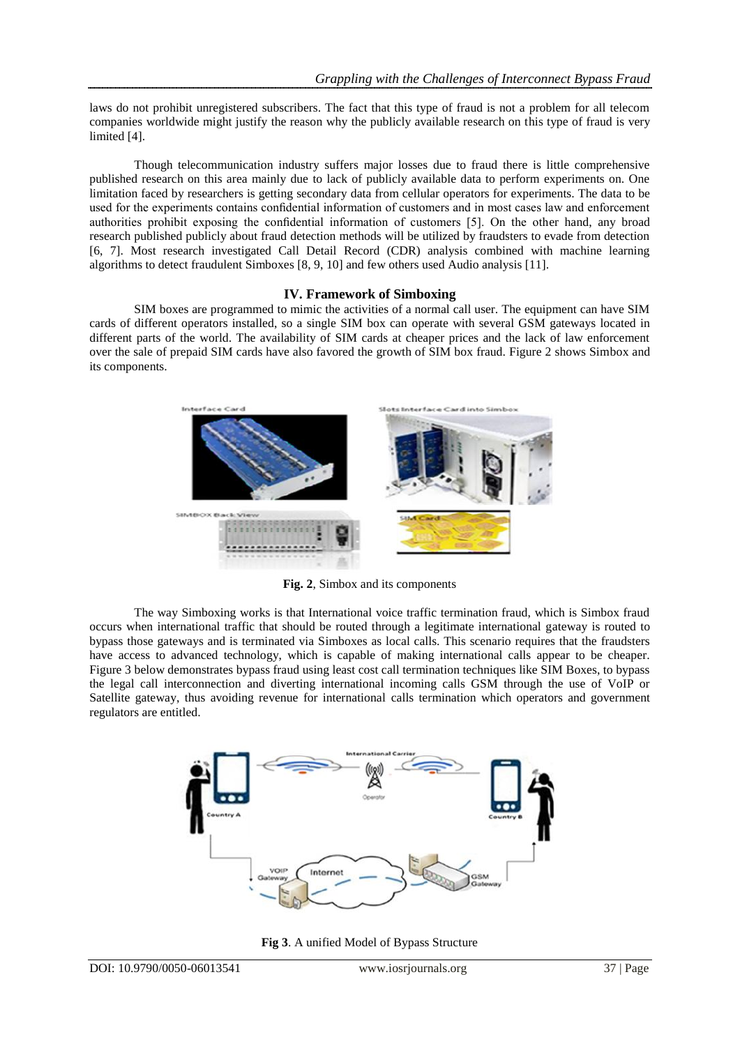laws do not prohibit unregistered subscribers. The fact that this type of fraud is not a problem for all telecom companies worldwide might justify the reason why the publicly available research on this type of fraud is very limited [4].

Though telecommunication industry suffers major losses due to fraud there is little comprehensive published research on this area mainly due to lack of publicly available data to perform experiments on. One limitation faced by researchers is getting secondary data from cellular operators for experiments. The data to be used for the experiments contains confidential information of customers and in most cases law and enforcement authorities prohibit exposing the confidential information of customers [5]. On the other hand, any broad research published publicly about fraud detection methods will be utilized by fraudsters to evade from detection [6, 7]. Most research investigated Call Detail Record (CDR) analysis combined with machine learning algorithms to detect fraudulent Simboxes [8, 9, 10] and few others used Audio analysis [11].

## **IV. Framework of Simboxing**

SIM boxes are programmed to mimic the activities of a normal call user. The equipment can have SIM cards of different operators installed, so a single SIM box can operate with several GSM gateways located in different parts of the world. The availability of SIM cards at cheaper prices and the lack of law enforcement over the sale of prepaid SIM cards have also favored the growth of SIM box fraud. Figure 2 shows Simbox and its components.



**Fig. 2**, Simbox and its components

The way Simboxing works is that International voice traffic termination fraud, which is Simbox fraud occurs when international traffic that should be routed through a legitimate international gateway is routed to bypass those gateways and is terminated via Simboxes as local calls. This scenario requires that the fraudsters have access to advanced technology, which is capable of making international calls appear to be cheaper. Figure 3 below demonstrates bypass fraud using least cost call termination techniques like SIM Boxes, to bypass the legal call interconnection and diverting international incoming calls GSM through the use of VoIP or Satellite gateway, thus avoiding revenue for international calls termination which operators and government regulators are entitled.



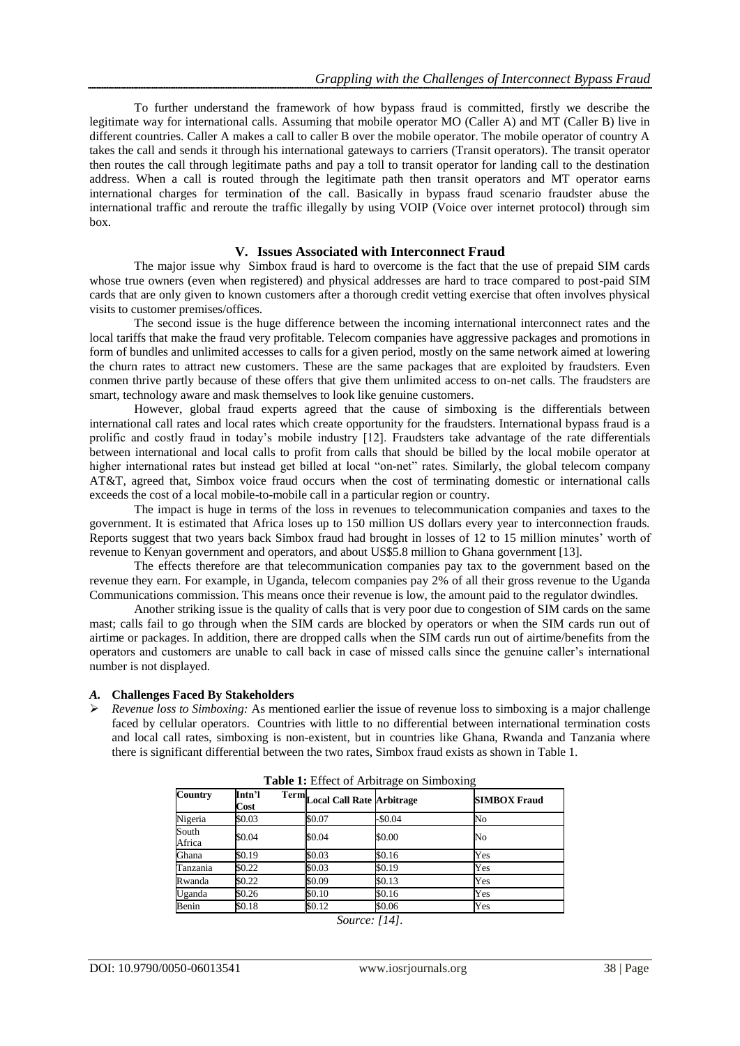To further understand the framework of how bypass fraud is committed, firstly we describe the legitimate way for international calls. Assuming that mobile operator MO (Caller A) and MT (Caller B) live in different countries. Caller A makes a call to caller B over the mobile operator. The mobile operator of country A takes the call and sends it through his international gateways to carriers (Transit operators). The transit operator then routes the call through legitimate paths and pay a toll to transit operator for landing call to the destination address. When a call is routed through the legitimate path then transit operators and MT operator earns international charges for termination of the call. Basically in bypass fraud scenario fraudster abuse the international traffic and reroute the traffic illegally by using VOIP (Voice over internet protocol) through sim box.

### **V. Issues Associated with Interconnect Fraud**

The major issue why Simbox fraud is hard to overcome is the fact that the use of prepaid SIM cards whose true owners (even when registered) and physical addresses are hard to trace compared to post-paid SIM cards that are only given to known customers after a thorough credit vetting exercise that often involves physical visits to customer premises/offices.

The second issue is the huge difference between the incoming international interconnect rates and the local tariffs that make the fraud very profitable. Telecom companies have aggressive packages and promotions in form of bundles and unlimited accesses to calls for a given period, mostly on the same network aimed at lowering the churn rates to attract new customers. These are the same packages that are exploited by fraudsters. Even conmen thrive partly because of these offers that give them unlimited access to on-net calls. The fraudsters are smart, technology aware and mask themselves to look like genuine customers.

However, global fraud experts agreed that the cause of simboxing is the differentials between international call rates and local rates which create opportunity for the fraudsters. International bypass fraud is a prolific and costly fraud in today's mobile industry [12]. Fraudsters take advantage of the rate differentials between international and local calls to profit from calls that should be billed by the local mobile operator at higher international rates but instead get billed at local "on-net" rates. Similarly, the global telecom company AT&T, agreed that, Simbox voice fraud occurs when the cost of terminating domestic or international calls exceeds the cost of a local mobile-to-mobile call in a particular region or country.

The impact is huge in terms of the loss in revenues to telecommunication companies and taxes to the government. It is estimated that Africa loses up to 150 million US dollars every year to interconnection frauds. Reports suggest that two years back Simbox fraud had brought in losses of 12 to 15 million minutes' worth of revenue to Kenyan government and operators, and about US\$5.8 million to Ghana government [13].

The effects therefore are that telecommunication companies pay tax to the government based on the revenue they earn. For example, in Uganda, telecom companies pay 2% of all their gross revenue to the Uganda Communications commission. This means once their revenue is low, the amount paid to the regulator dwindles.

Another striking issue is the quality of calls that is very poor due to congestion of SIM cards on the same mast; calls fail to go through when the SIM cards are blocked by operators or when the SIM cards run out of airtime or packages. In addition, there are dropped calls when the SIM cards run out of airtime/benefits from the operators and customers are unable to call back in case of missed calls since the genuine caller's international number is not displayed.

#### *A.* **Challenges Faced By Stakeholders**

 *Revenue loss to Simboxing:* As mentioned earlier the issue of revenue loss to simboxing is a major challenge faced by cellular operators. Countries with little to no differential between international termination costs and local call rates, simboxing is non-existent, but in countries like Ghana, Rwanda and Tanzania where there is significant differential between the two rates, Simbox fraud exists as shown in Table 1.

| <b>Country</b>  | Intn'l<br>Cost | Term <sub>Local</sub> Call Rate Arbitrage |            | <b>SIMBOX Fraud</b> |
|-----------------|----------------|-------------------------------------------|------------|---------------------|
| Nigeria         | \$0.03         | \$0.07                                    | $-$ \$0.04 | No                  |
| South<br>Africa | \$0.04         | \$0.04                                    | \$0.00     | No                  |
| Ghana           | \$0.19         | \$0.03                                    | \$0.16     | Yes                 |
| Tanzania        | \$0.22         | \$0.03                                    | \$0.19     | Yes                 |
| Rwanda          | \$0.22         | \$0.09                                    | \$0.13     | Yes                 |
| Uganda          | \$0.26         | \$0.10                                    | \$0.16     | Yes                 |
| Benin           | \$0.18         | \$0.12                                    | \$0.06     | Yes                 |

**Table 1:** Effect of Arbitrage on Simboxing

*Source: [14].*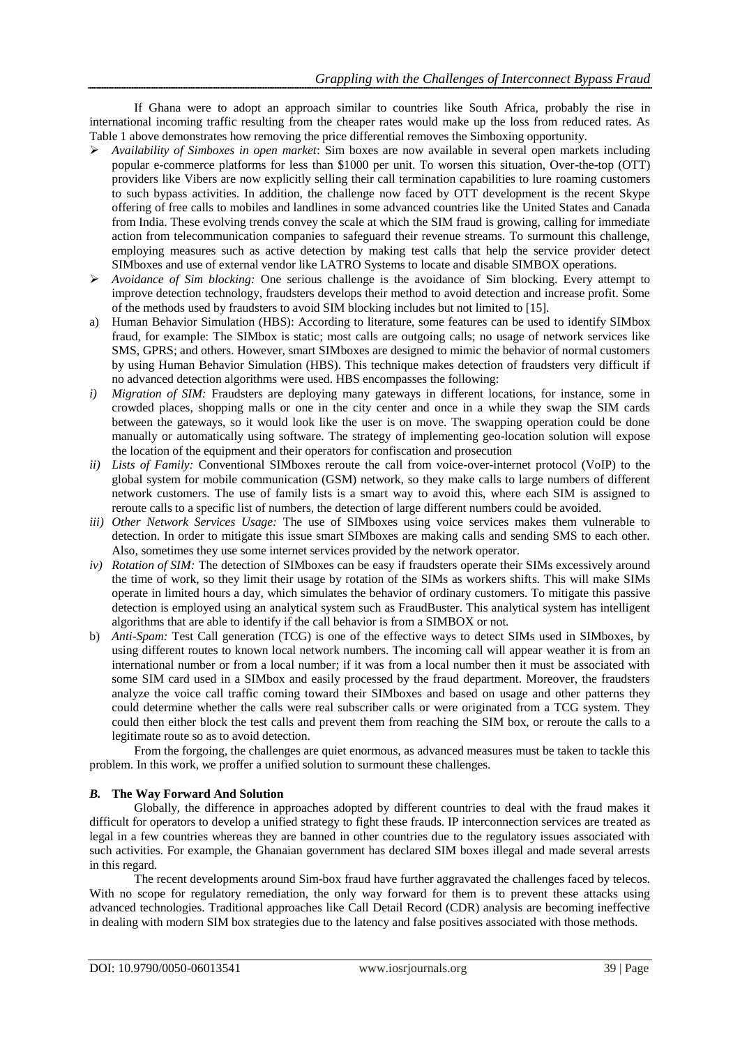If Ghana were to adopt an approach similar to countries like South Africa, probably the rise in international incoming traffic resulting from the cheaper rates would make up the loss from reduced rates. As Table 1 above demonstrates how removing the price differential removes the Simboxing opportunity.

- *Availability of Simboxes in open market*: Sim boxes are now available in several open markets including popular e-commerce platforms for less than \$1000 per unit. To worsen this situation, Over-the-top (OTT) providers like Vibers are now explicitly selling their call termination capabilities to lure roaming customers to such bypass activities. In addition, the challenge now faced by OTT development is the recent Skype offering of free calls to mobiles and landlines in some advanced countries like the United States and Canada from India. These evolving trends convey the scale at which the SIM fraud is growing, calling for immediate action from telecommunication companies to safeguard their revenue streams. To surmount this challenge, employing measures such as active detection by making test calls that help the service provider detect SIMboxes and use of external vendor like LATRO Systems to locate and disable SIMBOX operations.
- *Avoidance of Sim blocking:* One serious challenge is the avoidance of Sim blocking. Every attempt to improve detection technology, fraudsters develops their method to avoid detection and increase profit. Some of the methods used by fraudsters to avoid SIM blocking includes but not limited to [15].
- a) Human Behavior Simulation (HBS): According to literature, some features can be used to identify SIMbox fraud, for example: The SIMbox is static; most calls are outgoing calls; no usage of network services like SMS, GPRS; and others. However, smart SIMboxes are designed to mimic the behavior of normal customers by using Human Behavior Simulation (HBS). This technique makes detection of fraudsters very difficult if no advanced detection algorithms were used. HBS encompasses the following:
- *i) Migration of SIM:* Fraudsters are deploying many gateways in different locations, for instance, some in crowded places, shopping malls or one in the city center and once in a while they swap the SIM cards between the gateways, so it would look like the user is on move. The swapping operation could be done manually or automatically using software. The strategy of implementing geo-location solution will expose the location of the equipment and their operators for confiscation and prosecution
- *ii) Lists of Family:* Conventional SIMboxes reroute the call from voice-over-internet protocol (VoIP) to the global system for mobile communication (GSM) network, so they make calls to large numbers of different network customers. The use of family lists is a smart way to avoid this, where each SIM is assigned to reroute calls to a specific list of numbers, the detection of large different numbers could be avoided.
- *iii) Other Network Services Usage:* The use of SIMboxes using voice services makes them vulnerable to detection. In order to mitigate this issue smart SIMboxes are making calls and sending SMS to each other. Also, sometimes they use some internet services provided by the network operator.
- *iv) Rotation of SIM:* The detection of SIMboxes can be easy if fraudsters operate their SIMs excessively around the time of work, so they limit their usage by rotation of the SIMs as workers shifts. This will make SIMs operate in limited hours a day, which simulates the behavior of ordinary customers. To mitigate this passive detection is employed using an analytical system such as FraudBuster. This analytical system has intelligent algorithms that are able to identify if the call behavior is from a SIMBOX or not.
- b) *Anti-Spam:* Test Call generation (TCG) is one of the effective ways to detect SIMs used in SIMboxes, by using different routes to known local network numbers. The incoming call will appear weather it is from an international number or from a local number; if it was from a local number then it must be associated with some SIM card used in a SIMbox and easily processed by the fraud department. Moreover, the fraudsters analyze the voice call traffic coming toward their SIMboxes and based on usage and other patterns they could determine whether the calls were real subscriber calls or were originated from a TCG system. They could then either block the test calls and prevent them from reaching the SIM box, or reroute the calls to a legitimate route so as to avoid detection.

From the forgoing, the challenges are quiet enormous, as advanced measures must be taken to tackle this problem. In this work, we proffer a unified solution to surmount these challenges.

## *B.* **The Way Forward And Solution**

Globally, the difference in approaches adopted by different countries to deal with the fraud makes it difficult for operators to develop a unified strategy to fight these frauds. IP interconnection services are treated as legal in a few countries whereas they are banned in other countries due to the regulatory issues associated with such activities. For example, the Ghanaian government has declared SIM boxes illegal and made several arrests in this regard.

The recent developments around Sim-box fraud have further aggravated the challenges faced by telecos. With no scope for regulatory remediation, the only way forward for them is to prevent these attacks using advanced technologies. Traditional approaches like Call Detail Record (CDR) analysis are becoming ineffective in dealing with modern SIM box strategies due to the latency and false positives associated with those methods.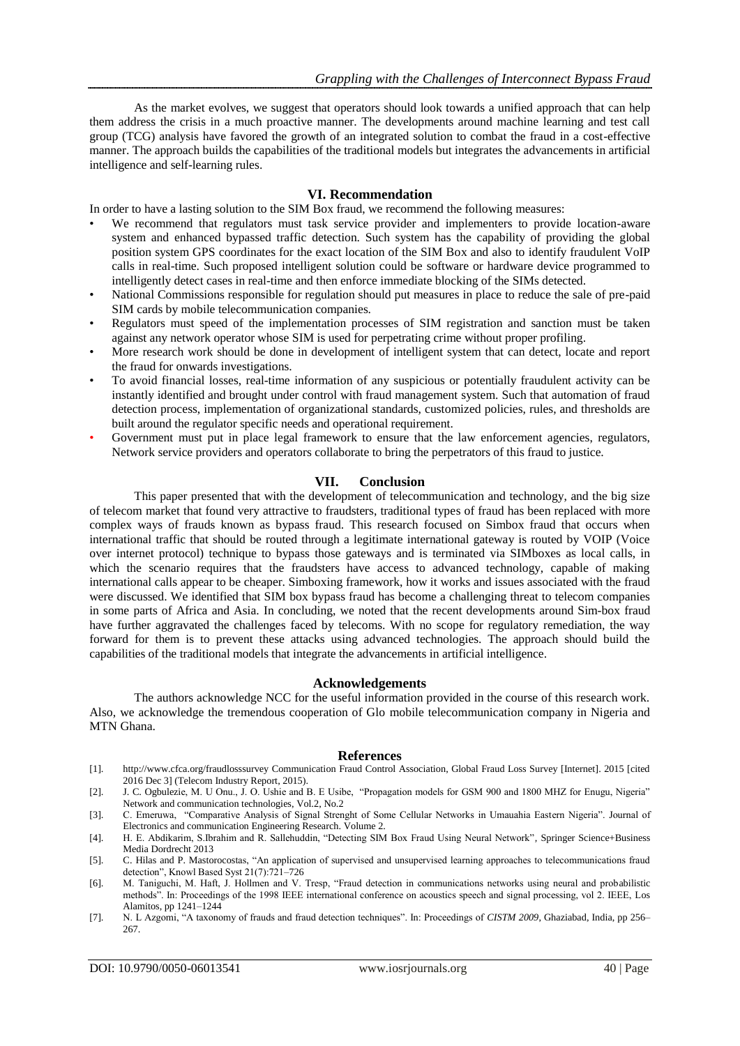As the market evolves, we suggest that operators should look towards a unified approach that can help them address the crisis in a much proactive manner. The developments around machine learning and test call group (TCG) analysis have favored the growth of an integrated solution to combat the fraud in a cost-effective manner. The approach builds the capabilities of the traditional models but integrates the advancements in artificial intelligence and self-learning rules.

#### **VI. Recommendation**

In order to have a lasting solution to the SIM Box fraud, we recommend the following measures:

- We recommend that regulators must task service provider and implementers to provide location-aware system and enhanced bypassed traffic detection. Such system has the capability of providing the global position system GPS coordinates for the exact location of the SIM Box and also to identify fraudulent VoIP calls in real-time. Such proposed intelligent solution could be software or hardware device programmed to intelligently detect cases in real-time and then enforce immediate blocking of the SIMs detected.
- National Commissions responsible for regulation should put measures in place to reduce the sale of pre-paid SIM cards by mobile telecommunication companies.
- Regulators must speed of the implementation processes of SIM registration and sanction must be taken against any network operator whose SIM is used for perpetrating crime without proper profiling.
- More research work should be done in development of intelligent system that can detect, locate and report the fraud for onwards investigations.
- To avoid financial losses, real-time information of any suspicious or potentially fraudulent activity can be instantly identified and brought under control with fraud management system. Such that automation of fraud detection process, implementation of organizational standards, customized policies, rules, and thresholds are built around the regulator specific needs and operational requirement.
- Government must put in place legal framework to ensure that the law enforcement agencies, regulators, Network service providers and operators collaborate to bring the perpetrators of this fraud to justice.

### **VII. Conclusion**

This paper presented that with the development of telecommunication and technology, and the big size of telecom market that found very attractive to fraudsters, traditional types of fraud has been replaced with more complex ways of frauds known as bypass fraud. This research focused on Simbox fraud that occurs when international traffic that should be routed through a legitimate international gateway is routed by VOIP (Voice over internet protocol) technique to bypass those gateways and is terminated via SIMboxes as local calls, in which the scenario requires that the fraudsters have access to advanced technology, capable of making international calls appear to be cheaper. Simboxing framework, how it works and issues associated with the fraud were discussed. We identified that SIM box bypass fraud has become a challenging threat to telecom companies in some parts of Africa and Asia. In concluding, we noted that the recent developments around Sim-box fraud have further aggravated the challenges faced by telecoms. With no scope for regulatory remediation, the way forward for them is to prevent these attacks using advanced technologies. The approach should build the capabilities of the traditional models that integrate the advancements in artificial intelligence.

#### **Acknowledgements**

The authors acknowledge NCC for the useful information provided in the course of this research work. Also, we acknowledge the tremendous cooperation of Glo mobile telecommunication company in Nigeria and MTN Ghana.

#### **References**

- [1]. http://www.cfca.org/fraudlosssurvey Communication Fraud Control Association, Global Fraud Loss Survey [Internet]. 2015 [cited 2016 Dec 3] (Telecom Industry Report, 2015).
- [2]. J. C. Ogbulezie, M. U Onu., J. O. Ushie and B. E Usibe, "Propagation models for GSM 900 and 1800 MHZ for Enugu, Nigeria" Network and communication technologies, Vol.2, No.2
- [3]. C. Emeruwa, "Comparative Analysis of Signal Strenght of Some Cellular Networks in Umauahia Eastern Nigeria". Journal of Electronics and communication Engineering Research. Volume 2.
- [4]. H. E. Abdikarim, S.Ibrahim and R. Sallehuddin, "Detecting SIM Box Fraud Using Neural Network"*,* Springer Science+Business Media Dordrecht 2013
- [5]. C. Hilas and P. Mastorocostas, "An application of supervised and unsupervised learning approaches to telecommunications fraud detection", Knowl Based Syst 21(7):721–726
- [6]. M. Taniguchi, M. Haft, J. Hollmen and V. Tresp, "Fraud detection in communications networks using neural and probabilistic methods". In: Proceedings of the 1998 IEEE international conference on acoustics speech and signal processing, vol 2. IEEE, Los Alamitos, pp 1241–1244
- [7]. N. L Azgomi, "A taxonomy of frauds and fraud detection techniques". In: Proceedings of *CISTM 2009*, Ghaziabad, India, pp 256– 267.